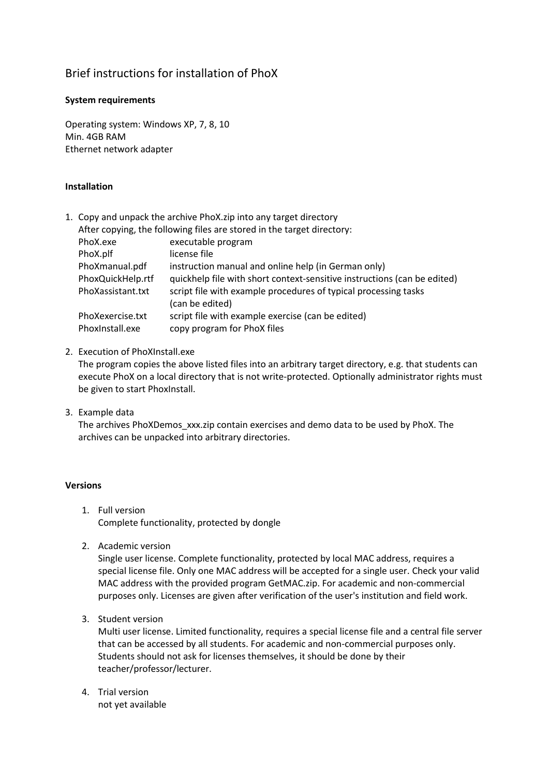# Brief instructions for installation of PhoX

## **System requirements**

Operating system: Windows XP, 7, 8, 10 Min. 4GB RAM Ethernet network adapter

### **Installation**

1. Copy and unpack the archive PhoX.zip into any target directory After copying, the following files are stored in the target directory: PhoX.exe executable program PhoX.plf license file PhoXmanual.pdf instruction manual and online help (in German only) PhoxQuickHelp.rtf quickhelp file with short context-sensitive instructions (can be edited) PhoXassistant.txt script file with example procedures of typical processing tasks (can be edited) PhoXexercise.txt script file with example exercise (can be edited) PhoxInstall.exe copy program for PhoX files

#### 2. Execution of PhoXInstall.exe

The program copies the above listed files into an arbitrary target directory, e.g. that students can execute PhoX on a local directory that is not write-protected. Optionally administrator rights must be given to start PhoxInstall.

3. Example data

The archives PhoXDemos\_xxx.zip contain exercises and demo data to be used by PhoX. The archives can be unpacked into arbitrary directories.

#### **Versions**

- 1. Full version Complete functionality, protected by dongle
- 2. Academic version

Single user license. Complete functionality, protected by local MAC address, requires a special license file. Only one MAC address will be accepted for a single user. Check your valid MAC address with the provided program GetMAC.zip. For academic and non-commercial purposes only. Licenses are given after verification of the user's institution and field work.

3. Student version

Multi user license. Limited functionality, requires a special license file and a central file server that can be accessed by all students. For academic and non-commercial purposes only. Students should not ask for licenses themselves, it should be done by their teacher/professor/lecturer.

4. Trial version not yet available